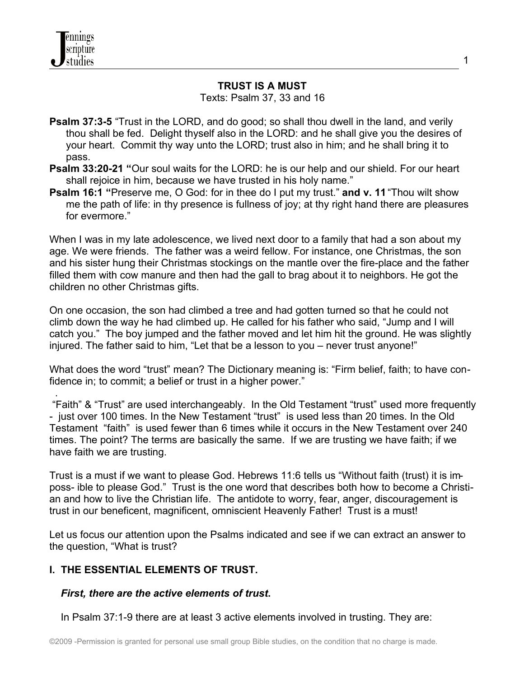.

#### **TRUST IS A MUST**

Texts: Psalm 37, 33 and 16

- **Psalm 37:3-5** "Trust in the LORD, and do good; so shall thou dwell in the land, and verily thou shall be fed. Delight thyself also in the LORD: and he shall give you the desires of your heart. Commit thy way unto the LORD; trust also in him; and he shall bring it to pass.
- **Psalm 33:20-21 "**Our soul waits for the LORD: he is our help and our shield. For our heart shall rejoice in him, because we have trusted in his holy name."
- **Psalm 16:1 "**Preserve me, O God: for in thee do I put my trust." **and v. 11** "Thou wilt show me the path of life: in thy presence is fullness of joy; at thy right hand there are pleasures for evermore."

When I was in my late adolescence, we lived next door to a family that had a son about my age. We were friends. The father was a weird fellow. For instance, one Christmas, the son and his sister hung their Christmas stockings on the mantle over the fire-place and the father filled them with cow manure and then had the gall to brag about it to neighbors. He got the children no other Christmas gifts.

On one occasion, the son had climbed a tree and had gotten turned so that he could not climb down the way he had climbed up. He called for his father who said, "Jump and I will catch you." The boy jumped and the father moved and let him hit the ground. He was slightly injured. The father said to him, "Let that be a lesson to you – never trust anyone!"

What does the word "trust" mean? The Dictionary meaning is: "Firm belief, faith; to have confidence in; to commit; a belief or trust in a higher power."

 "Faith" & "Trust" are used interchangeably. In the Old Testament "trust" used more frequently - just over 100 times. In the New Testament "trust" is used less than 20 times. In the Old Testament "faith" is used fewer than 6 times while it occurs in the New Testament over 240 times. The point? The terms are basically the same. If we are trusting we have faith; if we have faith we are trusting.

Trust is a must if we want to please God. Hebrews 11:6 tells us "Without faith (trust) it is imposs- ible to please God." Trust is the one word that describes both how to become a Christian and how to live the Christian life. The antidote to worry, fear, anger, discouragement is trust in our beneficent, magnificent, omniscient Heavenly Father! Trust is a must!

Let us focus our attention upon the Psalms indicated and see if we can extract an answer to the question, "What is trust?

# **I. THE ESSENTIAL ELEMENTS OF TRUST.**

#### *First, there are the active elements of trust***.**

In Psalm 37:1-9 there are at least 3 active elements involved in trusting. They are: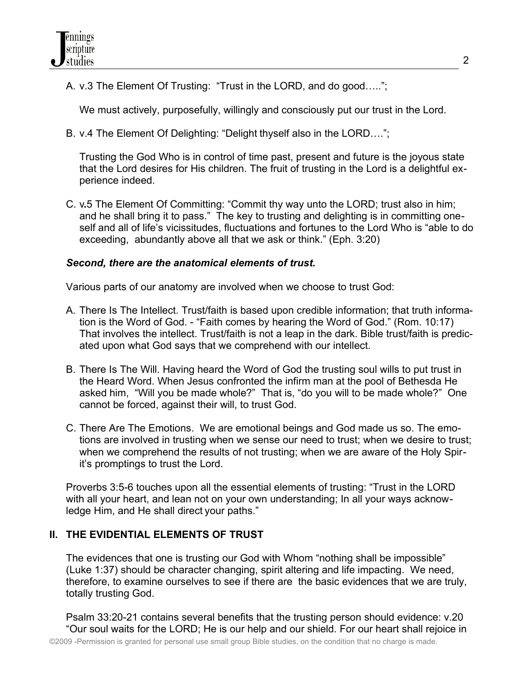A. v.3 The Element Of Trusting: "Trust in the LORD, and do good…..";

We must actively, purposefully, willingly and consciously put our trust in the Lord.

B. v.4 The Element Of Delighting: "Delight thyself also in the LORD….";

Trusting the God Who is in control of time past, present and future is the joyous state that the Lord desires for His children. The fruit of trusting in the Lord is a delightful experience indeed.

C. v**.**5 The Element Of Committing: "Commit thy way unto the LORD; trust also in him; and he shall bring it to pass." The key to trusting and delighting is in committing oneself and all of life's vicissitudes, fluctuations and fortunes to the Lord Who is "able to do exceeding, abundantly above all that we ask or think." (Eph. 3:20)

### *Second, there are the anatomical elements of trust.*

Various parts of our anatomy are involved when we choose to trust God:

- A. There Is The Intellect. Trust/faith is based upon credible information; that truth information is the Word of God. - "Faith comes by hearing the Word of God." (Rom. 10:17) That involves the intellect. Trust/faith is not a leap in the dark. Bible trust/faith is predicated upon what God says that we comprehend with our intellect.
- B. There Is The Will. Having heard the Word of God the trusting soul wills to put trust in the Heard Word. When Jesus confronted the infirm man at the pool of Bethesda He asked him, "Will you be made whole?" That is, "do you will to be made whole?" One cannot be forced, against their will, to trust God.
- C. There Are The Emotions. We are emotional beings and God made us so. The emotions are involved in trusting when we sense our need to trust; when we desire to trust; when we comprehend the results of not trusting; when we are aware of the Holy Spirit's promptings to trust the Lord.

Proverbs 3:5-6 touches upon all the essential elements of trusting: "Trust in the LORD with all your heart, and lean not on your own understanding; In all your ways acknowledge Him, and He shall direct your paths."

# **II. THE EVIDENTIAL ELEMENTS OF TRUST**

The evidences that one is trusting our God with Whom "nothing shall be impossible" (Luke 1:37) should be character changing, spirit altering and life impacting. We need, therefore, to examine ourselves to see if there are the basic evidences that we are truly, totally trusting God.

Psalm 33:20-21 contains several benefits that the trusting person should evidence: v.20 "Our soul waits for the LORD; He is our help and our shield. For our heart shall rejoice in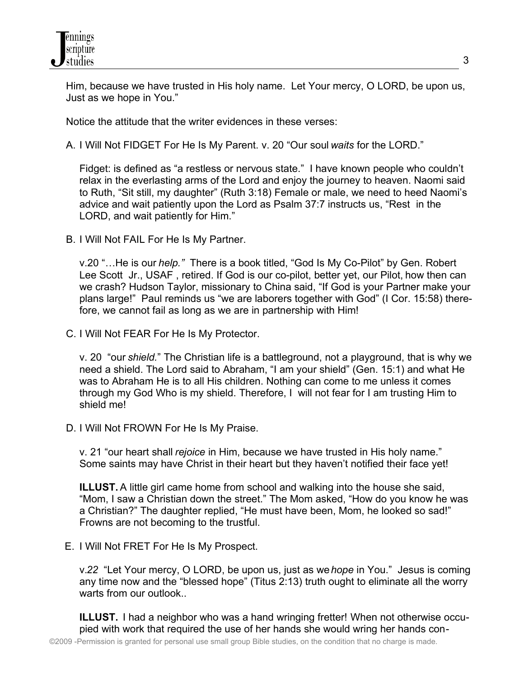Him, because we have trusted in His holy name. Let Your mercy, O LORD, be upon us, Just as we hope in You."

Notice the attitude that the writer evidences in these verses:

A. I Will Not FIDGET For He Is My Parent. v. 20 "Our soul *waits* for the LORD."

Fidget: is defined as "a restless or nervous state." I have known people who couldn't relax in the everlasting arms of the Lord and enjoy the journey to heaven. Naomi said to Ruth, "Sit still, my daughter" (Ruth 3:18) Female or male, we need to heed Naomi's advice and wait patiently upon the Lord as Psalm 37:7 instructs us, "Restin the LORD, and wait patiently for Him."

B. I Will Not FAIL For He Is My Partner.

v.20 "…He is our *help."* There is a book titled, "God Is My Co-Pilot" by Gen. Robert Lee Scott Jr., USAF , retired. If God is our co-pilot, better yet, our Pilot, how then can we crash? Hudson Taylor, missionary to China said, "If God is your Partner make your plans large!" Paul reminds us "we are laborers together with God" (I Cor. 15:58) therefore, we cannot fail as long as we are in partnership with Him!

C. I Will Not FEAR For He Is My Protector.

v. 20 "our *shield.*" The Christian life is a battleground, not a playground, that is why we need a shield. The Lord said to Abraham, "I am your shield" (Gen. 15:1) and what He was to Abraham He is to all His children. Nothing can come to me unless it comes through my God Who is my shield. Therefore, I will not fear for I am trusting Him to shield me!

D. I Will Not FROWN For He Is My Praise.

v. 21 "our heart shall *rejoice* in Him, because we have trusted in His holy name." Some saints may have Christ in their heart but they haven't notified their face yet!

**ILLUST.** A little girl came home from school and walking into the house she said, "Mom, I saw a Christian down the street." The Mom asked, "How do you know he was a Christian?" The daughter replied, "He must have been, Mom, he looked so sad!" Frowns are not becoming to the trustful.

E. I Will Not FRET For He Is My Prospect.

v.*22* "Let Your mercy, O LORD, be upon us, just as we *hope* in You." Jesus is coming any time now and the "blessed hope" (Titus 2:13) truth ought to eliminate all the worry warts from our outlook..

**ILLUST.** I had a neighbor who was a hand wringing fretter! When not otherwise occupied with work that required the use of her hands she would wring her hands con-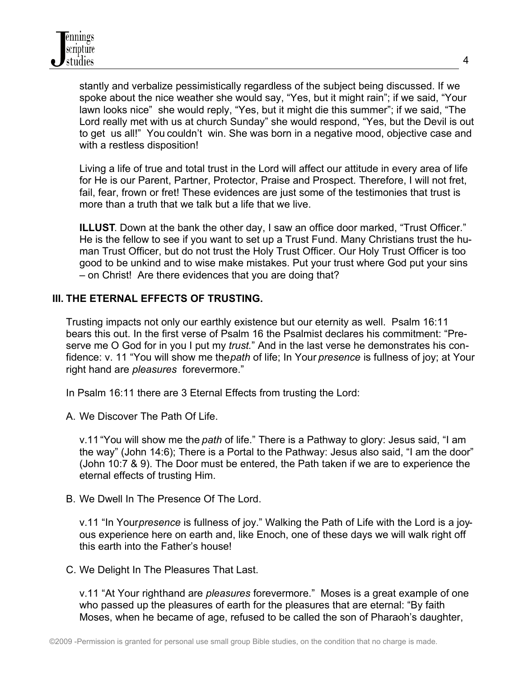stantly and verbalize pessimistically regardless of the subject being discussed. If we spoke about the nice weather she would say, "Yes, but it might rain"; if we said, "Your lawn looks nice" she would reply, "Yes, but it might die this summer"; if we said, "The Lord really met with us at church Sunday" she would respond, "Yes, but the Devil is out to get us all!" You couldn't win. She was born in a negative mood, objective case and with a restless disposition!

Living a life of true and total trust in the Lord will affect our attitude in every area of life for He is our Parent, Partner, Protector, Praise and Prospect. Therefore, I will not fret, fail, fear, frown or fret! These evidences are just some of the testimonies that trust is more than a truth that we talk but a life that we live.

**ILLUST**. Down at the bank the other day, I saw an office door marked, "Trust Officer." He is the fellow to see if you want to set up a Trust Fund. Many Christians trust the human Trust Officer, but do not trust the Holy Trust Officer. Our Holy Trust Officer is too good to be unkind and to wise make mistakes. Put your trust where God put your sins – on Christ! Are there evidences that you are doing that?

### **III. THE ETERNAL EFFECTS OF TRUSTING.**

Trusting impacts not only our earthly existence but our eternity as well. Psalm 16:11 bears this out. In the first verse of Psalm 16 the Psalmist declares his commitment: "Preserve me O God for in you I put my *trust.*" And in the last verse he demonstrates his confidence: v. 11 "You will show me the *path* of life; In Your *presence* is fullness of joy; at Your right hand are *pleasures* forevermore."

In Psalm 16:11 there are 3 Eternal Effects from trusting the Lord:

A. We Discover The Path Of Life.

v.11"You will show me the *path* of life." There is a Pathway to glory: Jesus said, "I am the way" (John 14:6); There is a Portal to the Pathway: Jesus also said, "I am the door" (John 10:7 & 9). The Door must be entered, the Path taken if we are to experience the eternal effects of trusting Him.

B. We Dwell In The Presence Of The Lord.

v.11 "In Your *presence* is fullness of joy." Walking the Path of Life with the Lord is a joyous experience here on earth and, like Enoch, one of these days we will walk right off this earth into the Father's house!

C. We Delight In The Pleasures That Last.

v.11 "At Your righthand are *pleasures* forevermore." Moses is a great example of one who passed up the pleasures of earth for the pleasures that are eternal: "By faith Moses, when he became of age, refused to be called the son of Pharaoh's daughter,